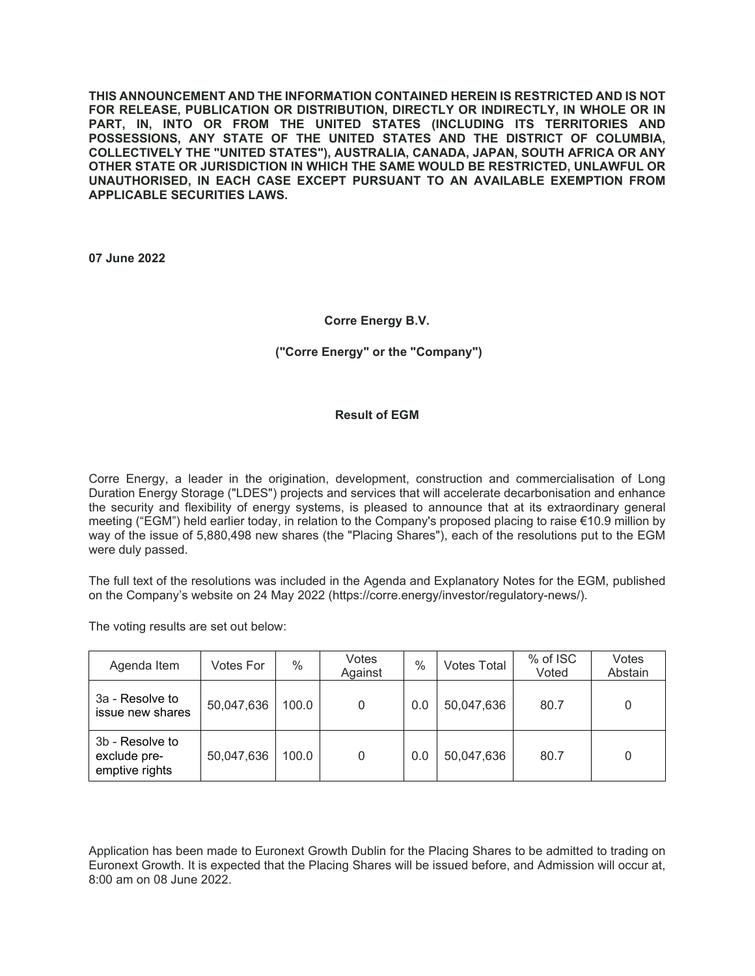**THIS ANNOUNCEMENT AND THE INFORMATION CONTAINED HEREIN IS RESTRICTED AND IS NOT FOR RELEASE, PUBLICATION OR DISTRIBUTION, DIRECTLY OR INDIRECTLY, IN WHOLE OR IN PART, IN, INTO OR FROM THE UNITED STATES (INCLUDING ITS TERRITORIES AND POSSESSIONS, ANY STATE OF THE UNITED STATES AND THE DISTRICT OF COLUMBIA, COLLECTIVELY THE "UNITED STATES"), AUSTRALIA, CANADA, JAPAN, SOUTH AFRICA OR ANY OTHER STATE OR JURISDICTION IN WHICH THE SAME WOULD BE RESTRICTED, UNLAWFUL OR UNAUTHORISED, IN EACH CASE EXCEPT PURSUANT TO AN AVAILABLE EXEMPTION FROM APPLICABLE SECURITIES LAWS.** 

**07 June 2022**

## **Corre Energy B.V.**

## **("Corre Energy" or the "Company")**

## **Result of EGM**

Corre Energy, a leader in the origination, development, construction and commercialisation of Long Duration Energy Storage ("LDES") projects and services that will accelerate decarbonisation and enhance the security and flexibility of energy systems, is pleased to announce that at its extraordinary general meeting ("EGM") held earlier today, in relation to the Company's proposed placing to raise €10.9 million by way of the issue of 5,880,498 new shares (the "Placing Shares"), each of the resolutions put to the EGM were duly passed.

The full text of the resolutions was included in the Agenda and Explanatory Notes for the EGM, published on the Company's website on 24 May 2022 (https://corre.energy/investor/regulatory-news/).

The voting results are set out below:

| Agenda Item                                       | Votes For  | $\%$  | Votes<br>Against | $\%$ | <b>Votes Total</b> | % of ISC<br>Voted | Votes<br>Abstain |
|---------------------------------------------------|------------|-------|------------------|------|--------------------|-------------------|------------------|
| 3a - Resolve to<br>issue new shares               | 50,047,636 | 100.0 | 0                | 0.0  | 50,047,636         | 80.7              |                  |
| 3b - Resolve to<br>exclude pre-<br>emptive rights | 50,047,636 | 100.0 | 0                | 0.0  | 50,047,636         | 80.7              | 0                |

Application has been made to Euronext Growth Dublin for the Placing Shares to be admitted to trading on Euronext Growth. It is expected that the Placing Shares will be issued before, and Admission will occur at, 8:00 am on 08 June 2022.